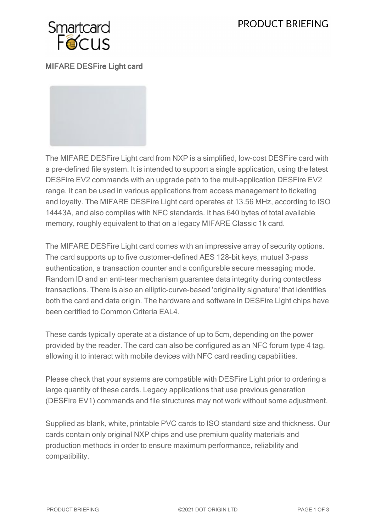# PRODUCT BRIEFING



MIFARE DESFire Light card

The MIFARE DESFire Light card from NXP is a simplified, low-cost DESFire card with a pre-defined file system. It is intended to support a single application, using the latest DESFire EV2 commands with an upgrade path to the mult-application DESFire EV2 range. It can be used in various applications from access management to ticketing and loyalty. The MIFARE DESFire Light card operates at 13.56 MHz, according to ISO 14443A, and also complies with NFC standards. It has 640 bytes of total available memory, roughly equivalent to that on a legacy MIFARE Classic 1k card.

The MIFARE DESFire Light card comes with an impressive array of security options. The card supports up to five customer-defined AES 128-bit keys, mutual 3-pass authentication, a transaction counter and a configurable secure messaging mode. Random ID and an anti-tear mechanism guarantee data integrity during contactless transactions. There is also an elliptic-curve-based 'originality signature' that identifies both the card and data origin. The hardware and software in DESFire Light chips have been certified to Common Criteria EAL4.

These cards typically operate at a distance of up to 5cm, depending on the power provided by the reader. The card can also be configured as an NFC forum type 4 tag, allowing it to interact with mobile devices with NFC card reading capabilities.

Please check that your systems are compatible with DESFire Light prior to ordering a large quantity of these cards. Legacy applications that use previous generation (DESFire EV1) commands and file structures may not work without some adjustment.

Supplied as blank, white, printable PVC cards to ISO standard size and thickness. Our cards contain only original NXP chips and use premium quality materials and production methods in order to ensure maximum performance, reliability and compatibility.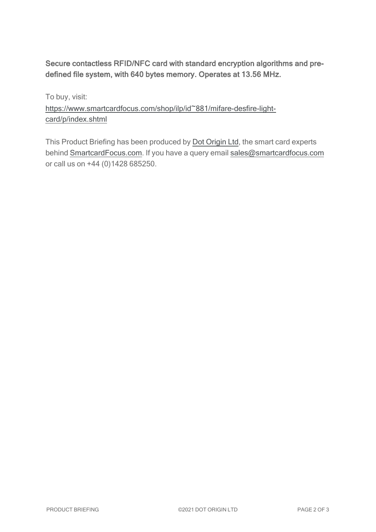## Secure contactless RFID/NFC card with standard encryption algorithms and predefined file system, with 640 bytes memory. Operates at 13.56 MHz.

To buy, visit: [https://www.smartcardfocus.com/shop/ilp/id~881/mifare-desfire-light](https://www.smartcardfocus.com/shop/ilp/id~881/mifare-desfire-light-card/p/index.shtml?utm_source=download&utm_medium=pdf&utm_campaign=scf-product-pdf)[card/p/index.shtml](https://www.smartcardfocus.com/shop/ilp/id~881/mifare-desfire-light-card/p/index.shtml?utm_source=download&utm_medium=pdf&utm_campaign=scf-product-pdf)

This Product Briefing has been produced by Dot [Origin](https://www.dotorigin.com/) Ltd, the smart card experts behind [SmartcardFocus.com.](https://www.smartcardfocus.com/?utm_source=download&utm_medium=pdf&utm_campaign=scf-product-pdf) If you have a query email [sales@smartcardfocus.com](mailto:sales@smartcardfocus.com?subject=Product Briefing query) or call us on +44 (0)1428 685250.